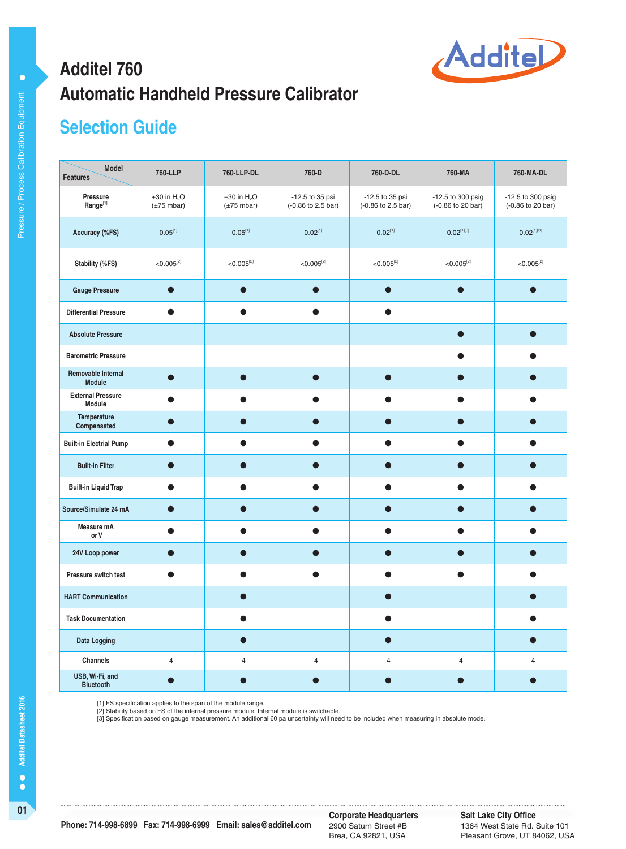

# **Automatic Handheld Pressure Calibrator Additel 760**

# **Selection Guide**

| <b>Model</b><br><b>Features</b>            | 760-LLP                                                 | 760-LLP-DL                                              | 760-D                                 | 760-D-DL                              | 760-MA                                 | 760-MA-DL                              |
|--------------------------------------------|---------------------------------------------------------|---------------------------------------------------------|---------------------------------------|---------------------------------------|----------------------------------------|----------------------------------------|
| Pressure<br>$Range^{[1]}$                  | $\pm 30$ in H <sub>2</sub> O<br>$(\pm 75 \text{ mbar})$ | $\pm 30$ in H <sub>2</sub> O<br>$(\pm 75 \text{ mbar})$ | -12.5 to 35 psi<br>(-0.86 to 2.5 bar) | -12.5 to 35 psi<br>(-0.86 to 2.5 bar) | -12.5 to 300 psig<br>(-0.86 to 20 bar) | -12.5 to 300 psig<br>(-0.86 to 20 bar) |
| Accuracy (%FS)                             | $0.05^{[1]}$                                            | $0.05^{[1]}$                                            | $0.02^{[1]}$                          | $0.02^{[1]}$                          | $0.02^{[1][3]}$                        | $0.02^{[1][3]}$                        |
| Stability (%FS)                            | $< 0.005^{[2]}$                                         | $< 0.005^{[2]}$                                         | $< 0.005^{[2]}$                       | $< 0.005^{[2]}$                       | $< 0.005^{[2]}$                        | $< 0.005^{[2]}$                        |
| <b>Gauge Pressure</b>                      | $\bullet$                                               |                                                         |                                       | $\bullet$                             |                                        |                                        |
| <b>Differential Pressure</b>               | $\bullet$                                               |                                                         | $\bullet$                             | $\bullet$                             |                                        |                                        |
| <b>Absolute Pressure</b>                   |                                                         |                                                         |                                       |                                       | $\bullet$                              | ●                                      |
| <b>Barometric Pressure</b>                 |                                                         |                                                         |                                       |                                       |                                        |                                        |
| <b>Removable Internal</b><br><b>Module</b> | $\bullet$                                               | $\bullet$                                               | $\bullet$                             | $\bullet$                             | $\bullet$                              |                                        |
| <b>External Pressure</b><br>Module         |                                                         |                                                         | Œ                                     |                                       | e                                      |                                        |
| Temperature<br>Compensated                 |                                                         |                                                         |                                       |                                       |                                        |                                        |
| <b>Built-in Electrial Pump</b>             | ●                                                       |                                                         | O                                     |                                       |                                        |                                        |
| <b>Built-in Filter</b>                     |                                                         |                                                         | $\bullet$                             |                                       |                                        |                                        |
| <b>Built-in Liquid Trap</b>                | ●                                                       |                                                         | $\bullet$                             |                                       |                                        |                                        |
| Source/Simulate 24 mA                      | œ                                                       |                                                         | С                                     |                                       |                                        |                                        |
| Measure mA<br>or V                         |                                                         |                                                         |                                       |                                       |                                        |                                        |
| 24V Loop power                             |                                                         |                                                         |                                       |                                       |                                        |                                        |
| Pressure switch test                       | $\bullet$                                               | a                                                       | $\bullet$                             | $\bullet$                             | $\bullet$                              | O                                      |
| <b>HART Communication</b>                  |                                                         |                                                         |                                       |                                       |                                        |                                        |
| <b>Task Documentation</b>                  |                                                         |                                                         |                                       | $\bullet$                             |                                        |                                        |
| <b>Data Logging</b>                        |                                                         | $\bullet$                                               |                                       | $\bullet$                             |                                        |                                        |
| Channels                                   | $\overline{4}$                                          | $\overline{\mathbf{4}}$                                 | $\overline{\mathbf{4}}$               | $\overline{\mathbf{4}}$               | $\sqrt{4}$                             | $\overline{4}$                         |
| USB, Wi-Fi, and<br><b>Bluetooth</b>        |                                                         |                                                         |                                       |                                       |                                        |                                        |

[1] FS specification applies to the span of the module range.<br>[2] Stability based on FS of the internal pressure module. Internal module is switchable.<br>[3] Specification based on gauge measurement. An additional 60 pa unce

 $\bullet$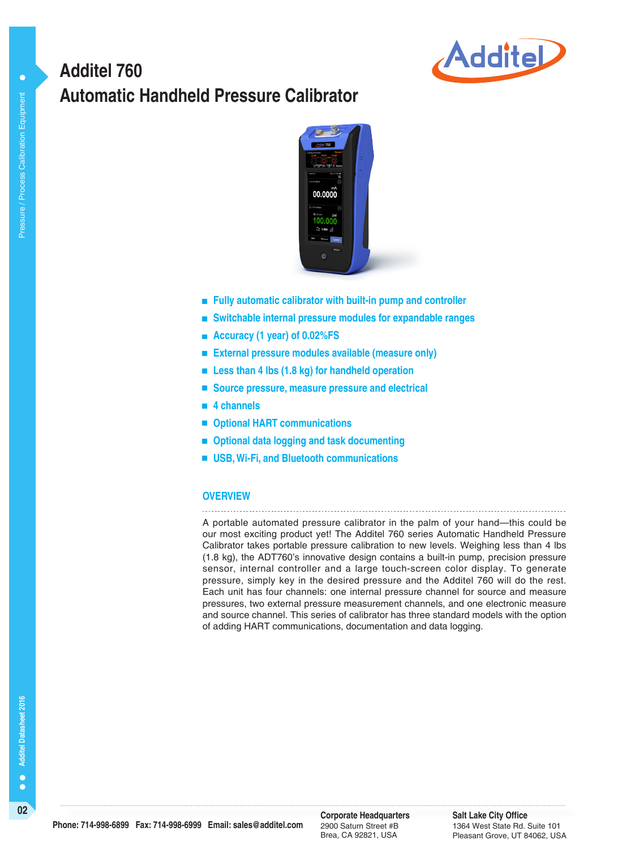

# **Automatic Handheld Pressure Calibrator Additel 760**



- **Fully automatic calibrator with built-in pump and controller**
- **Switchable internal pressure modules for expandable ranges**
- **Accuracy (1 year) of 0.02%FS**
- **External pressure modules available (measure only)**
- Less than 4 lbs (1.8 kg) for handheld operation
- Source pressure, measure pressure and electrical
- **4 channels**
- **Optional HART communications**
- **Optional data logging and task documenting**
- **USB, Wi-Fi, and Bluetooth communications**

### **OVERVIEW**

A portable automated pressure calibrator in the palm of your hand—this could be our most exciting product yet! The Additel 760 series Automatic Handheld Pressure Calibrator takes portable pressure calibration to new levels. Weighing less than 4 lbs (1.8 kg), the ADT760's innovative design contains a built-in pump, precision pressure sensor, internal controller and a large touch-screen color display. To generate pressure, simply key in the desired pressure and the Additel 760 will do the rest. Each unit has four channels: one internal pressure channel for source and measure pressures, two external pressure measurement channels, and one electronic measure and source channel. This series of calibrator has three standard models with the option of adding HART communications, documentation and data logging.

**Salt Lake City Office** 1364 West State Rd. Suite 101 Pleasant Grove, UT 84062, USA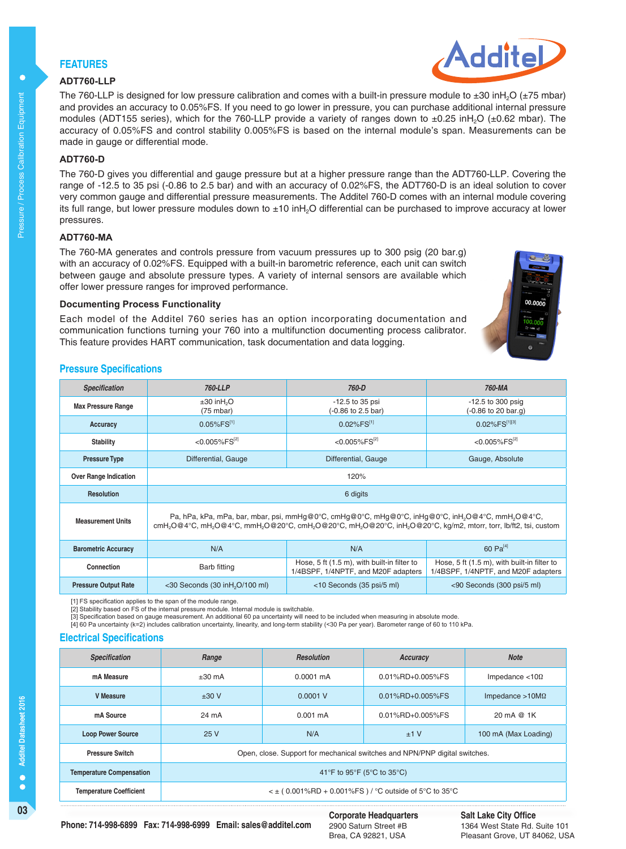## **FEATURES**

#### **ADT760-LLP**

The 760-LLP is designed for low pressure calibration and comes with a built-in pressure module to  $\pm 30$  inH<sub>2</sub>O ( $\pm 75$  mbar) and provides an accuracy to 0.05%FS. If you need to go lower in pressure, you can purchase additional internal pressure modules (ADT155 series), which for the 760-LLP provide a variety of ranges down to  $\pm 0.25$  inH<sub>2</sub>O ( $\pm 0.62$  mbar). The accuracy of 0.05%FS and control stability 0.005%FS is based on the internal module's span. Measurements can be made in gauge or differential mode.

## **ADT760-D**

The 760-D gives you differential and gauge pressure but at a higher pressure range than the ADT760-LLP. Covering the range of -12.5 to 35 psi (-0.86 to 2.5 bar) and with an accuracy of 0.02%FS, the ADT760-D is an ideal solution to cover very common gauge and differential pressure measurements. The Additel 760-D comes with an internal module covering its full range, but lower pressure modules down to ±10 inH<sub>2</sub>O differential can be purchased to improve accuracy at lower pressures.

#### **ADT760-MA**

The 760-MA generates and controls pressure from vacuum pressures up to 300 psig (20 bar.g) with an accuracy of 0.02%FS. Equipped with a built-in barometric reference, each unit can switch between gauge and absolute pressure types. A variety of internal sensors are available which offer lower pressure ranges for improved performance.

#### **Documenting Process Functionality**

Each model of the Additel 760 series has an option incorporating documentation and communication functions turning your 760 into a multifunction documenting process calibrator. This feature provides HART communication, task documentation and data logging.

#### **Pressure Specifications**

| <b>Specification</b>         | 760-LLP                                                                                                                                                                                                                                                                                                                | 760-D                                                                              | 760-MA                                                                             |  |
|------------------------------|------------------------------------------------------------------------------------------------------------------------------------------------------------------------------------------------------------------------------------------------------------------------------------------------------------------------|------------------------------------------------------------------------------------|------------------------------------------------------------------------------------|--|
| <b>Max Pressure Range</b>    | $\pm 30$ in H <sub>2</sub> O<br>$(75 \text{ mbar})$                                                                                                                                                                                                                                                                    | -12.5 to 35 psi<br>(-0.86 to 2.5 bar)                                              | $-12.5$ to 300 psig<br>(-0.86 to 20 bar.g)                                         |  |
| Accuracy                     | $0.05\%$ FS <sup>[1]</sup>                                                                                                                                                                                                                                                                                             | $0.02\%$ FS <sup>[1]</sup>                                                         | $0.02\%$ FS[1][3]                                                                  |  |
| Stability                    | $< 0.005\%$ FS <sup>[2]</sup>                                                                                                                                                                                                                                                                                          | $< 0.005\%$ FS <sup>[2]</sup>                                                      | $<$ 0.005%FS <sup>[2]</sup>                                                        |  |
| <b>Pressure Type</b>         | Differential, Gauge                                                                                                                                                                                                                                                                                                    | Differential, Gauge                                                                | Gauge, Absolute                                                                    |  |
| <b>Over Range Indication</b> | 120%                                                                                                                                                                                                                                                                                                                   |                                                                                    |                                                                                    |  |
| <b>Resolution</b>            | 6 digits                                                                                                                                                                                                                                                                                                               |                                                                                    |                                                                                    |  |
| <b>Measurement Units</b>     | Pa, hPa, kPa, mPa, bar, mbar, psi, mmHg@0°C, cmHg@0°C, mHg@0°C, inHg@0°C, inH <sub>2</sub> O@4°C, mmH <sub>2</sub> O@4°C,<br>cmH <sub>2</sub> O@4°C, mH <sub>2</sub> O@4°C, mmH <sub>2</sub> O@20°C, cmH <sub>2</sub> O@20°C, mH <sub>2</sub> O@20°C, inH <sub>2</sub> O@20°C, kg/m2, mtorr, torr, lb/ft2, tsi, custom |                                                                                    |                                                                                    |  |
| <b>Barometric Accuracy</b>   | N/A                                                                                                                                                                                                                                                                                                                    | N/A                                                                                | 60 $Pa^{[4]}$                                                                      |  |
| Connection                   | <b>Barb fitting</b>                                                                                                                                                                                                                                                                                                    | Hose, 5 ft (1.5 m), with built-in filter to<br>1/4BSPF, 1/4NPTF, and M20F adapters | Hose, 5 ft (1.5 m), with built-in filter to<br>1/4BSPF, 1/4NPTF, and M20F adapters |  |
| <b>Pressure Output Rate</b>  | $<$ 30 Seconds (30 in H <sub>2</sub> O/100 ml)                                                                                                                                                                                                                                                                         | <10 Seconds (35 psi/5 ml)                                                          | <90 Seconds (300 psi/5 ml)                                                         |  |

[1] FS specification applies to the span of the module range. [2] Stability based on FS of the internal pressure module. Internal module is switchable.

[3] Specification based on gauge measurement. An additional 60 pa uncertainty will need to be included when measuring in absolute mode.

[4] 60 Pa uncertainty (k=2) includes calibration uncertainty, linearity, and long-term stability (<30 Pa per year). Barometer range of 60 to 110 kPa.

#### **Electrical Specifications**

| <b>Specification</b>            | Range                                                                      | <b>Resolution</b>   | Accuracy         | <b>Note</b>               |
|---------------------------------|----------------------------------------------------------------------------|---------------------|------------------|---------------------------|
| mA Measure                      | $\pm 30$ mA                                                                | $0.0001 \text{ mA}$ | 0.01%RD+0.005%FS | Impedance $<$ 10 $\Omega$ |
| <b>V</b> Measure                | $±30$ V                                                                    | 0.0001V             | 0.01%RD+0.005%FS | Impedance $>10M\Omega$    |
| mA Source                       | 24 mA                                                                      | $0.001 \text{ mA}$  | 0.01%RD+0.005%FS | 20 mA @ 1K                |
| <b>Loop Power Source</b>        | 25V                                                                        | N/A                 | ±1V              | 100 mA (Max Loading)      |
| <b>Pressure Switch</b>          | Open, close. Support for mechanical switches and NPN/PNP digital switches. |                     |                  |                           |
| <b>Temperature Compensation</b> | 41°F to 95°F (5°C to 35°C)                                                 |                     |                  |                           |
| <b>Temperature Coefficient</b>  | $\leq$ ± (0.001%RD + 0.001%FS) / °C outside of 5°C to 35°C                 |                     |                  |                           |



 $\bullet$ 

#### **Salt Lake City Office** 1364 West State Rd. Suite 101 Pleasant Grove, UT 84062, USA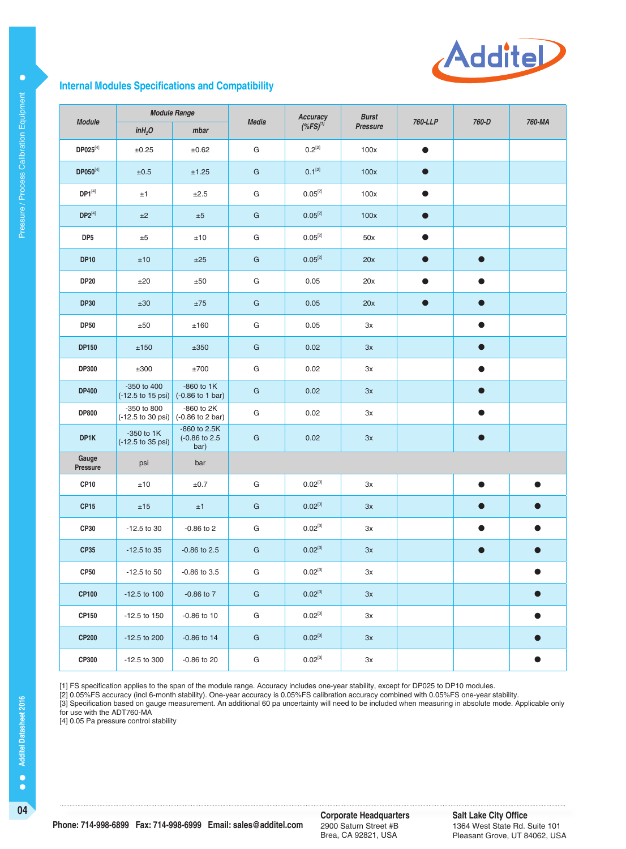

#### **Internal Modules Specifications and Compatibility**

| <b>Module Range</b><br><b>Module</b> |                                                                                         |                                        | <b>Media</b>  | Accuracy                         | <b>Burst</b>    | 760-LLP   | 760-D     | 760-MA    |
|--------------------------------------|-----------------------------------------------------------------------------------------|----------------------------------------|---------------|----------------------------------|-----------------|-----------|-----------|-----------|
|                                      | inH <sub>2</sub> O                                                                      | mbar                                   |               | $(*$ FS) $^{\prime\prime\prime}$ | <b>Pressure</b> |           |           |           |
| $DP025^{[4]}$                        | ±0.25                                                                                   | ±0.62                                  | G             | $0.2^{[2]}$                      | 100x            | $\bullet$ |           |           |
| DP050[4]                             | ±0.5                                                                                    | ±1.25                                  | G             | $0.1^{[2]}$                      | 100x            | $\bullet$ |           |           |
| $DP1^{[4]}$                          | ±1                                                                                      | ±2.5                                   | G             | $0.05^{[2]}$                     | 100x            | $\bullet$ |           |           |
| $DP2^{[4]}$                          | ±2                                                                                      | ±5                                     | G             | $0.05^{[2]}$                     | 100x            | $\bullet$ |           |           |
| DP <sub>5</sub>                      | ±5                                                                                      | ±10                                    | G             | $0.05^{[2]}$                     | 50x             | $\bullet$ |           |           |
| <b>DP10</b>                          | ±10                                                                                     | ±25                                    | G             | $0.05^{[2]}$                     | 20x             | $\bullet$ | $\bullet$ |           |
| <b>DP20</b>                          | ±20                                                                                     | $\pm 50$                               | G             | 0.05                             | 20x             | $\bullet$ | $\bullet$ |           |
| <b>DP30</b>                          | ±30                                                                                     | $\pm 75$                               | $\mathsf{G}$  | 0.05                             | 20x             | $\bullet$ | $\bullet$ |           |
| <b>DP50</b>                          | ±50                                                                                     | ±160                                   | G             | 0.05                             | Зx              |           | $\bullet$ |           |
| <b>DP150</b>                         | ±150                                                                                    | ±350                                   | $\mathsf{G}$  | 0.02                             | 3x              |           | $\bullet$ |           |
| DP300                                | ±300                                                                                    | ±700                                   | G             | 0.02                             | 3x              |           | $\bullet$ |           |
| <b>DP400</b>                         | -350 to 400<br>$(-12.5 \text{ to } 15 \text{ psi})$ $(-0.86 \text{ to } 1 \text{ bar})$ | -860 to 1K                             | G             | 0.02                             | 3x              |           | $\bullet$ |           |
| <b>DP800</b>                         | -350 to 800<br>$(-12.5 \text{ to } 30 \text{ psi})$                                     | -860 to 2K<br>(-0.86 to 2 bar)         | G             | 0.02                             | 3x              |           | $\bullet$ |           |
| DP1K                                 | -350 to $1K$<br>(-12.5 to 35 psi)                                                       | -860 to 2.5K<br>(-0.86 to 2.5)<br>bar) | $\mathsf{G}$  | 0.02                             | 3x              |           | $\bullet$ |           |
| Gauge<br>Pressure                    | psi                                                                                     | bar                                    |               |                                  |                 |           |           |           |
| <b>CP10</b>                          | ±10                                                                                     | ±0.7                                   | G             | $0.02^{[3]}$                     | Зx              |           | $\bullet$ | $\bullet$ |
| CP <sub>15</sub>                     | ±15                                                                                     | ±1                                     | G             | $0.02^{[3]}$                     | 3x              |           | $\bullet$ |           |
| CP30                                 | -12.5 to 30                                                                             | $-0.86$ to $2$                         | G             | $0.02^{[3]}$                     | Зx              |           | $\bullet$ |           |
| <b>CP35</b>                          | $-12.5$ to 35                                                                           | $-0.86$ to $2.5$                       | G             | $0.02^{[3]}$                     | 3x              |           | $\bullet$ |           |
| <b>CP50</b>                          | $-12.5$ to 50                                                                           | -0.86 to 3.5                           | G             | $0.02^{[3]}$                     | $3x$            |           |           |           |
| <b>CP100</b>                         | $-12.5$ to 100                                                                          | $-0.86$ to $7$                         | ${\mathsf G}$ | $0.02^{[3]}$                     | 3x              |           |           | $\bullet$ |
| CP150                                | $-12.5$ to 150                                                                          | $-0.86$ to 10                          | G             | $0.02^{[3]}$                     | 3x              |           |           |           |
| <b>CP200</b>                         | $-12.5$ to 200                                                                          | $-0.86$ to 14                          | ${\bf G}$     | $0.02^{[3]}$                     | 3x              |           |           |           |
| CP300                                | -12.5 to 300                                                                            | $-0.86$ to 20                          | G             | $0.02^{[3]}$                     | Зx              |           |           | 0         |

[1] FS specification applies to the span of the module range. Accuracy includes one-year stability, except for DP025 to DP10 modules.

[2] 0.05%FS accuracy (incl 6-month stability). One-year accuracy is 0.05%FS calibration accuracy combined with 0.05%FS one-year stability.

[3] Specification based on gauge measurement. An additional 60 pa uncertainty will need to be included when measuring in absolute mode. Applicable only for use with the ADT760-MA

[4] 0.05 Pa pressure control stability

 $\bullet$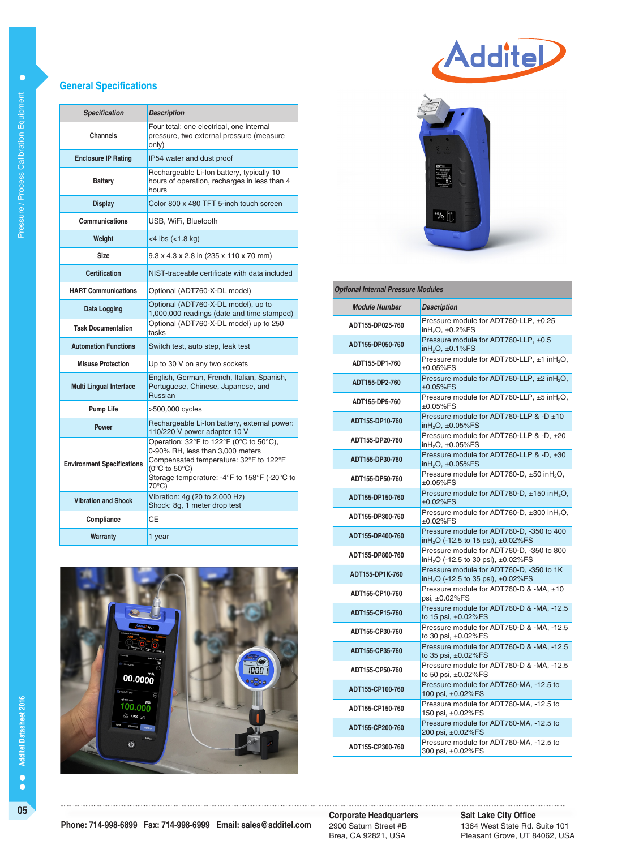#### **General Specifications**

| <b>Specification</b>              | <b>Description</b>                                                                                                                                                                                                           |
|-----------------------------------|------------------------------------------------------------------------------------------------------------------------------------------------------------------------------------------------------------------------------|
| Channels                          | Four total: one electrical, one internal<br>pressure, two external pressure (measure<br>only)                                                                                                                                |
| <b>Enclosure IP Rating</b>        | IP54 water and dust proof                                                                                                                                                                                                    |
| <b>Battery</b>                    | Rechargeable Li-Ion battery, typically 10<br>hours of operation, recharges in less than 4<br>hours                                                                                                                           |
| <b>Display</b>                    | Color 800 x 480 TFT 5-inch touch screen                                                                                                                                                                                      |
| Communications                    | USB. WiFi. Bluetooth                                                                                                                                                                                                         |
| Weight                            | <4 lbs (<1.8 kg)                                                                                                                                                                                                             |
| Size                              | 9.3 x 4.3 x 2.8 in (235 x 110 x 70 mm)                                                                                                                                                                                       |
| Certification                     | NIST-traceable certificate with data included                                                                                                                                                                                |
| <b>HART Communications</b>        | Optional (ADT760-X-DL model)                                                                                                                                                                                                 |
| Data Logging                      | Optional (ADT760-X-DL model), up to<br>1,000,000 readings (date and time stamped)                                                                                                                                            |
| <b>Task Documentation</b>         | Optional (ADT760-X-DL model) up to 250<br>tasks                                                                                                                                                                              |
| <b>Automation Functions</b>       | Switch test, auto step, leak test                                                                                                                                                                                            |
| <b>Misuse Protection</b>          | Up to 30 V on any two sockets                                                                                                                                                                                                |
| <b>Multi Lingual Interface</b>    | English, German, French, Italian, Spanish,<br>Portuguese, Chinese, Japanese, and<br><b>Russian</b>                                                                                                                           |
| <b>Pump Life</b>                  | >500,000 cycles                                                                                                                                                                                                              |
| <b>Power</b>                      | Rechargeable Li-Ion battery, external power:<br>110/220 V power adapter 10 V                                                                                                                                                 |
| <b>Environment Specifications</b> | Operation: 32°F to 122°F (0°C to 50°C),<br>0-90% RH, less than 3,000 meters<br>Compensated temperature: 32°F to 122°F<br>(0 $\rm ^{\circ}C$ to 50 $\rm ^{\circ}C$ )<br>Storage temperature: -4°F to 158°F (-20°C to<br>70°C) |
| <b>Vibration and Shock</b>        | Vibration: 4g (20 to 2,000 Hz)<br>Shock: 8g, 1 meter drop test                                                                                                                                                               |
| Compliance                        | CЕ                                                                                                                                                                                                                           |
| Warranty                          | 1 year                                                                                                                                                                                                                       |



# AdditeL



| <b>Optional Internal Pressure Modules</b> |                                                                                             |  |  |  |
|-------------------------------------------|---------------------------------------------------------------------------------------------|--|--|--|
| <b>Module Number</b>                      | <b>Description</b>                                                                          |  |  |  |
| ADT155-DP025-760                          | Pressure module for ADT760-LLP, ±0.25<br>inH <sub>2</sub> O, ±0.2%FS                        |  |  |  |
| ADT155-DP050-760                          | Pressure module for ADT760-LLP, ±0.5<br>in $H2O$ , $\pm 0.1\%$ FS                           |  |  |  |
| ADT155-DP1-760                            | Pressure module for ADT760-LLP, ±1 inH <sub>2</sub> O,<br>$\pm 0.05\%$ FS                   |  |  |  |
| ADT155-DP2-760                            | Pressure module for ADT760-LLP, ±2 inH <sub>2</sub> O,<br>$±0.05\%FS$                       |  |  |  |
| ADT155-DP5-760                            | Pressure module for ADT760-LLP, ±5 inH <sub>2</sub> O,<br>±0.05%FS                          |  |  |  |
| ADT155-DP10-760                           | Pressure module for ADT760-LLP & -D ±10<br>in $H_2O$ , $\pm 0.05\%$ FS                      |  |  |  |
| ADT155-DP20-760                           | Pressure module for ADT760-LLP & -D, ±20<br>inH <sub>2</sub> O, ±0.05%FS                    |  |  |  |
| ADT155-DP30-760                           | Pressure module for ADT760-LLP & -D, ±30<br>in $H_2O$ , $\pm 0.05\%$ FS                     |  |  |  |
| ADT155-DP50-760                           | Pressure module for ADT760-D, ±50 inH <sub>2</sub> O,<br>±0.05%FS                           |  |  |  |
| ADT155-DP150-760                          | Pressure module for ADT760-D, ±150 inH <sub>2</sub> O,<br>±0.02%FS                          |  |  |  |
| ADT155-DP300-760                          | Pressure module for ADT760-D, ±300 inH <sub>2</sub> O,<br>$\pm 0.02\%$ FS                   |  |  |  |
| ADT155-DP400-760                          | Pressure module for ADT760-D, -350 to 400<br>inH <sub>2</sub> O (-12.5 to 15 psi), ±0.02%FS |  |  |  |
| ADT155-DP800-760                          | Pressure module for ADT760-D, -350 to 800<br>inH <sub>2</sub> O (-12.5 to 30 psi), ±0.02%FS |  |  |  |
| ADT155-DP1K-760                           | Pressure module for ADT760-D, -350 to 1K<br>inH <sub>2</sub> O (-12.5 to 35 psi), ±0.02%FS  |  |  |  |
| ADT155-CP10-760                           | Pressure module for ADT760-D & -MA, ±10<br>psi, ±0.02%FS                                    |  |  |  |
| ADT155-CP15-760                           | Pressure module for ADT760-D & -MA, -12.5<br>to 15 psi, $\pm 0.02\%$ FS                     |  |  |  |
| ADT155-CP30-760                           | Pressure module for ADT760-D & -MA, -12.5<br>to 30 psi, ±0.02%FS                            |  |  |  |
| ADT155-CP35-760                           | Pressure module for ADT760-D & -MA, -12.5<br>to 35 psi, ±0.02%FS                            |  |  |  |
| ADT155-CP50-760                           | Pressure module for ADT760-D & -MA, -12.5<br>to 50 psi, $\pm 0.02\%$ FS                     |  |  |  |
| ADT155-CP100-760                          | Pressure module for ADT760-MA, -12.5 to<br>100 psi, ±0.02%FS                                |  |  |  |
| ADT155-CP150-760                          | Pressure module for ADT760-MA, -12.5 to<br>150 psi, ±0.02%FS                                |  |  |  |
| ADT155-CP200-760                          | Pressure module for ADT760-MA, -12.5 to<br>200 psi, ±0.02%FS                                |  |  |  |
| ADT155-CP300-760                          | Pressure module for ADT760-MA, -12.5 to<br>300 psi, ±0.02%FS                                |  |  |  |

**05 Corporate Headquarters** 2900 Saturn Street #B Brea, CA 92821, USA

#### **Salt Lake City Office** 1364 West State Rd. Suite 101 Pleasant Grove, UT 84062, USA